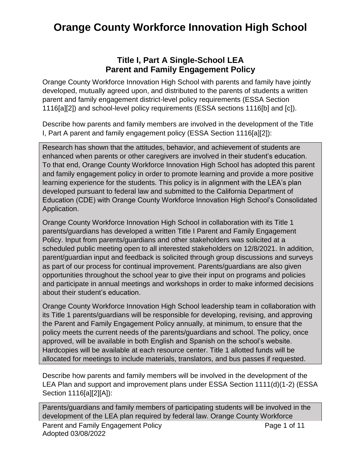## **Orange County Workforce Innovation High School**

## **Title I, Part A Single-School LEA Parent and Family Engagement Policy**

Orange County Workforce Innovation High School with parents and family have jointly developed, mutually agreed upon, and distributed to the parents of students a written parent and family engagement district-level policy requirements (ESSA Section 1116[a][2]) and school-level policy requirements (ESSA sections 1116[b] and [c]).

Describe how parents and family members are involved in the development of the Title I, Part A parent and family engagement policy (ESSA Section 1116[a][2]):

Research has shown that the attitudes, behavior, and achievement of students are enhanced when parents or other caregivers are involved in their student's education. To that end, Orange County Workforce Innovation High School has adopted this parent and family engagement policy in order to promote learning and provide a more positive learning experience for the students. This policy is in alignment with the LEA's plan developed pursuant to federal law and submitted to the California Department of Education (CDE) with Orange County Workforce Innovation High School's Consolidated Application.

Orange County Workforce Innovation High School in collaboration with its Title 1 parents/guardians has developed a written Title I Parent and Family Engagement Policy. Input from parents/guardians and other stakeholders was solicited at a scheduled public meeting open to all interested stakeholders on 12/8/2021. In addition, parent/guardian input and feedback is solicited through group discussions and surveys as part of our process for continual improvement. Parents/guardians are also given opportunities throughout the school year to give their input on programs and policies and participate in annual meetings and workshops in order to make informed decisions about their student's education.

Orange County Workforce Innovation High School leadership team in collaboration with its Title 1 parents/guardians will be responsible for developing, revising, and approving the Parent and Family Engagement Policy annually, at minimum, to ensure that the policy meets the current needs of the parents/guardians and school. The policy, once approved, will be available in both English and Spanish on the school's website. Hardcopies will be available at each resource center. Title 1 allotted funds will be allocated for meetings to include materials, translators, and bus passes if requested.

Describe how parents and family members will be involved in the development of the LEA Plan and support and improvement plans under ESSA Section 1111(d)(1-2) (ESSA Section 1116[a][2][A]):

Parent and Family Engagement Policy **Page 1 of 11** Adopted 03/08/2022 Parents/guardians and family members of participating students will be involved in the development of the LEA plan required by federal law. Orange County Workforce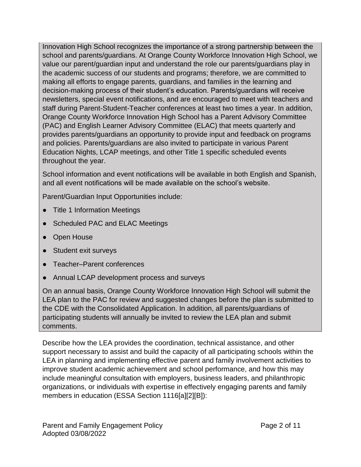Innovation High School recognizes the importance of a strong partnership between the school and parents/guardians. At Orange County Workforce Innovation High School, we value our parent/guardian input and understand the role our parents/guardians play in the academic success of our students and programs; therefore, we are committed to making all efforts to engage parents, guardians, and families in the learning and decision-making process of their student's education. Parents/guardians will receive newsletters, special event notifications, and are encouraged to meet with teachers and staff during Parent-Student-Teacher conferences at least two times a year. In addition, Orange County Workforce Innovation High School has a Parent Advisory Committee (PAC) and English Learner Advisory Committee (ELAC) that meets quarterly and provides parents/guardians an opportunity to provide input and feedback on programs and policies. Parents/guardians are also invited to participate in various Parent Education Nights, LCAP meetings, and other Title 1 specific scheduled events throughout the year.

School information and event notifications will be available in both English and Spanish, and all event notifications will be made available on the school's website.

Parent/Guardian Input Opportunities include:

- Title 1 Information Meetings
- Scheduled PAC and ELAC Meetings
- Open House
- Student exit surveys
- Teacher–Parent conferences
- Annual LCAP development process and surveys

On an annual basis, Orange County Workforce Innovation High School will submit the LEA plan to the PAC for review and suggested changes before the plan is submitted to the CDE with the Consolidated Application. In addition, all parents/guardians of participating students will annually be invited to review the LEA plan and submit comments.

Describe how the LEA provides the coordination, technical assistance, and other support necessary to assist and build the capacity of all participating schools within the LEA in planning and implementing effective parent and family involvement activities to improve student academic achievement and school performance, and how this may include meaningful consultation with employers, business leaders, and philanthropic organizations, or individuals with expertise in effectively engaging parents and family members in education (ESSA Section 1116[a][2][B]):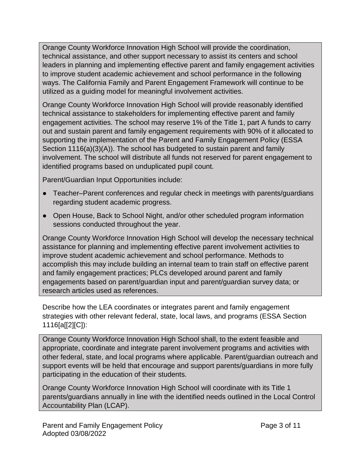Orange County Workforce Innovation High School will provide the coordination, technical assistance, and other support necessary to assist its centers and school leaders in planning and implementing effective parent and family engagement activities to improve student academic achievement and school performance in the following ways. The California Family and Parent Engagement Framework will continue to be utilized as a guiding model for meaningful involvement activities.

Orange County Workforce Innovation High School will provide reasonably identified technical assistance to stakeholders for implementing effective parent and family engagement activities. The school may reserve 1% of the Title 1, part A funds to carry out and sustain parent and family engagement requirements with 90% of it allocated to supporting the implementation of the Parent and Family Engagement Policy (ESSA Section 1116(a)(3)(A)). The school has budgeted to sustain parent and family involvement. The school will distribute all funds not reserved for parent engagement to identified programs based on unduplicated pupil count.

Parent/Guardian Input Opportunities include:

- Teacher–Parent conferences and regular check in meetings with parents/guardians regarding student academic progress.
- Open House, Back to School Night, and/or other scheduled program information sessions conducted throughout the year.

Orange County Workforce Innovation High School will develop the necessary technical assistance for planning and implementing effective parent involvement activities to improve student academic achievement and school performance. Methods to accomplish this may include building an internal team to train staff on effective parent and family engagement practices; PLCs developed around parent and family engagements based on parent/guardian input and parent/guardian survey data; or research articles used as references.

Describe how the LEA coordinates or integrates parent and family engagement strategies with other relevant federal, state, local laws, and programs (ESSA Section 1116[a[[2][C]):

Orange County Workforce Innovation High School shall, to the extent feasible and appropriate, coordinate and integrate parent involvement programs and activities with other federal, state, and local programs where applicable. Parent/guardian outreach and support events will be held that encourage and support parents/guardians in more fully participating in the education of their students.

Orange County Workforce Innovation High School will coordinate with its Title 1 parents/guardians annually in line with the identified needs outlined in the Local Control Accountability Plan (LCAP).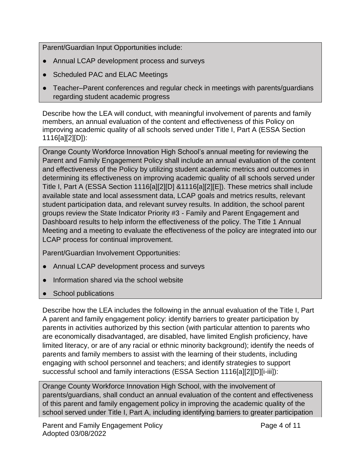Parent/Guardian Input Opportunities include:

- Annual LCAP development process and surveys
- Scheduled PAC and ELAC Meetings
- Teacher–Parent conferences and regular check in meetings with parents/guardians regarding student academic progress

Describe how the LEA will conduct, with meaningful involvement of parents and family members, an annual evaluation of the content and effectiveness of this Policy on improving academic quality of all schools served under Title I, Part A (ESSA Section 1116[a][2][D]):

Orange County Workforce Innovation High School's annual meeting for reviewing the Parent and Family Engagement Policy shall include an annual evaluation of the content and effectiveness of the Policy by utilizing student academic metrics and outcomes in determining its effectiveness on improving academic quality of all schools served under Title I, Part A (ESSA Section 1116[a][2][D] &1116[a][2][E]). These metrics shall include available state and local assessment data, LCAP goals and metrics results, relevant student participation data, and relevant survey results. In addition, the school parent groups review the State Indicator Priority #3 - Family and Parent Engagement and Dashboard results to help inform the effectiveness of the policy. The Title 1 Annual Meeting and a meeting to evaluate the effectiveness of the policy are integrated into our LCAP process for continual improvement.

Parent/Guardian Involvement Opportunities:

- Annual LCAP development process and surveys
- Information shared via the school website
- School publications

Describe how the LEA includes the following in the annual evaluation of the Title I, Part A parent and family engagement policy: identify barriers to greater participation by parents in activities authorized by this section (with particular attention to parents who are economically disadvantaged, are disabled, have limited English proficiency, have limited literacy, or are of any racial or ethnic minority background); identify the needs of parents and family members to assist with the learning of their students, including engaging with school personnel and teachers; and identify strategies to support successful school and family interactions (ESSA Section 1116[a][2][D][i-iii]):

Orange County Workforce Innovation High School, with the involvement of parents/guardians, shall conduct an annual evaluation of the content and effectiveness of this parent and family engagement policy in improving the academic quality of the school served under Title I, Part A, including identifying barriers to greater participation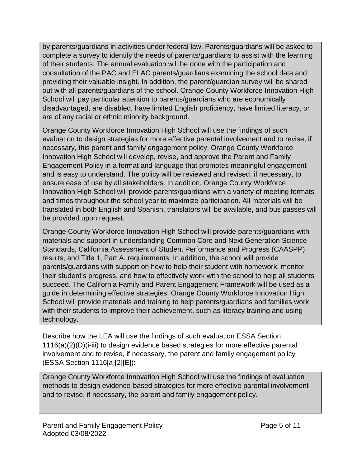by parents/guardians in activities under federal law. Parents/guardians will be asked to complete a survey to identify the needs of parents/guardians to assist with the learning of their students. The annual evaluation will be done with the participation and consultation of the PAC and ELAC parents/guardians examining the school data and providing their valuable insight. In addition, the parent/guardian survey will be shared out with all parents/guardians of the school. Orange County Workforce Innovation High School will pay particular attention to parents/guardians who are economically disadvantaged, are disabled, have limited English proficiency, have limited literacy, or are of any racial or ethnic minority background.

Orange County Workforce Innovation High School will use the findings of such evaluation to design strategies for more effective parental involvement and to revise, if necessary, this parent and family engagement policy. Orange County Workforce Innovation High School will develop, revise, and approve the Parent and Family Engagement Policy in a format and language that promotes meaningful engagement and is easy to understand. The policy will be reviewed and revised, if necessary, to ensure ease of use by all stakeholders. In addition, Orange County Workforce Innovation High School will provide parents/guardians with a variety of meeting formats and times throughout the school year to maximize participation. All materials will be translated in both English and Spanish, translators will be available, and bus passes will be provided upon request.

Orange County Workforce Innovation High School will provide parents/guardians with materials and support in understanding Common Core and Next Generation Science Standards, California Assessment of Student Performance and Progress (CAASPP) results, and Title 1, Part A, requirements. In addition, the school will provide parents/guardians with support on how to help their student with homework, monitor their student's progress, and how to effectively work with the school to help all students succeed. The California Family and Parent Engagement Framework will be used as a guide in determining effective strategies. Orange County Workforce Innovation High School will provide materials and training to help parents/guardians and families work with their students to improve their achievement, such as literacy training and using technology.

Describe how the LEA will use the findings of such evaluation ESSA Section 1116(a)(2)(D)(i-iii) to design evidence based strategies for more effective parental involvement and to revise, if necessary, the parent and family engagement policy (ESSA Section 1116[a][2][E]):

Orange County Workforce Innovation High School will use the findings of evaluation methods to design evidence-based strategies for more effective parental involvement and to revise, if necessary, the parent and family engagement policy.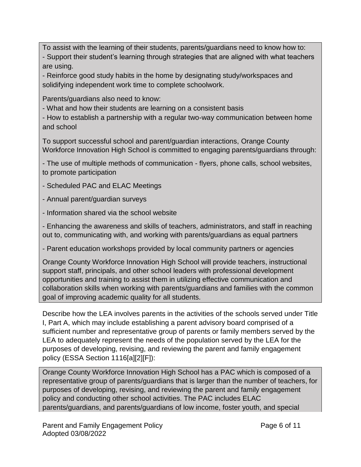To assist with the learning of their students, parents/guardians need to know how to: - Support their student's learning through strategies that are aligned with what teachers are using.

- Reinforce good study habits in the home by designating study/workspaces and solidifying independent work time to complete schoolwork.

Parents/guardians also need to know:

- What and how their students are learning on a consistent basis

- How to establish a partnership with a regular two-way communication between home and school

To support successful school and parent/guardian interactions, Orange County Workforce Innovation High School is committed to engaging parents/guardians through:

- The use of multiple methods of communication - flyers, phone calls, school websites, to promote participation

- Scheduled PAC and ELAC Meetings

- Annual parent/guardian surveys

- Information shared via the school website

- Enhancing the awareness and skills of teachers, administrators, and staff in reaching out to, communicating with, and working with parents/guardians as equal partners

- Parent education workshops provided by local community partners or agencies

Orange County Workforce Innovation High School will provide teachers, instructional support staff, principals, and other school leaders with professional development opportunities and training to assist them in utilizing effective communication and collaboration skills when working with parents/guardians and families with the common goal of improving academic quality for all students.

Describe how the LEA involves parents in the activities of the schools served under Title I, Part A, which may include establishing a parent advisory board comprised of a sufficient number and representative group of parents or family members served by the LEA to adequately represent the needs of the population served by the LEA for the purposes of developing, revising, and reviewing the parent and family engagement policy (ESSA Section 1116[a][2][F]):

Orange County Workforce Innovation High School has a PAC which is composed of a representative group of parents/guardians that is larger than the number of teachers, for purposes of developing, revising, and reviewing the parent and family engagement policy and conducting other school activities. The PAC includes ELAC parents/guardians, and parents/guardians of low income, foster youth, and special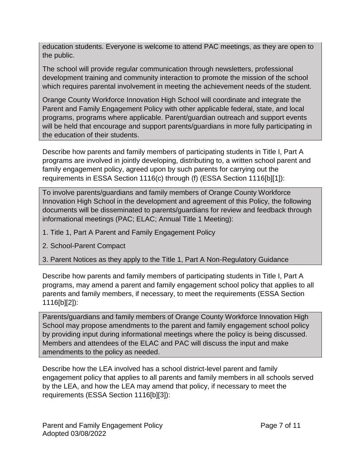education students. Everyone is welcome to attend PAC meetings, as they are open to the public.

The school will provide regular communication through newsletters, professional development training and community interaction to promote the mission of the school which requires parental involvement in meeting the achievement needs of the student.

Orange County Workforce Innovation High School will coordinate and integrate the Parent and Family Engagement Policy with other applicable federal, state, and local programs, programs where applicable. Parent/guardian outreach and support events will be held that encourage and support parents/guardians in more fully participating in the education of their students.

Describe how parents and family members of participating students in Title I, Part A programs are involved in jointly developing, distributing to, a written school parent and family engagement policy, agreed upon by such parents for carrying out the requirements in ESSA Section 1116(c) through (f) (ESSA Section 1116[b][1]):

To involve parents/guardians and family members of Orange County Workforce Innovation High School in the development and agreement of this Policy, the following documents will be disseminated to parents/guardians for review and feedback through informational meetings (PAC; ELAC; Annual Title 1 Meeting):

- 1. Title 1, Part A Parent and Family Engagement Policy
- 2. School-Parent Compact
- 3. Parent Notices as they apply to the Title 1, Part A Non-Regulatory Guidance

Describe how parents and family members of participating students in Title I, Part A programs, may amend a parent and family engagement school policy that applies to all parents and family members, if necessary, to meet the requirements (ESSA Section 1116[b][2]):

Parents/guardians and family members of Orange County Workforce Innovation High School may propose amendments to the parent and family engagement school policy by providing input during informational meetings where the policy is being discussed. Members and attendees of the ELAC and PAC will discuss the input and make amendments to the policy as needed.

Describe how the LEA involved has a school district-level parent and family engagement policy that applies to all parents and family members in all schools served by the LEA, and how the LEA may amend that policy, if necessary to meet the requirements (ESSA Section 1116[b][3]):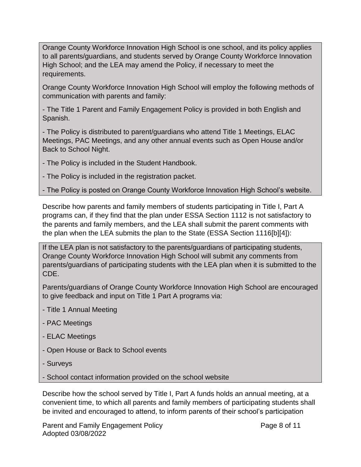Orange County Workforce Innovation High School is one school, and its policy applies to all parents/guardians, and students served by Orange County Workforce Innovation High School; and the LEA may amend the Policy, if necessary to meet the requirements.

Orange County Workforce Innovation High School will employ the following methods of communication with parents and family:

- The Title 1 Parent and Family Engagement Policy is provided in both English and Spanish.

- The Policy is distributed to parent/guardians who attend Title 1 Meetings, ELAC Meetings, PAC Meetings, and any other annual events such as Open House and/or Back to School Night.

- The Policy is included in the Student Handbook.

- The Policy is included in the registration packet.

- The Policy is posted on Orange County Workforce Innovation High School's website.

Describe how parents and family members of students participating in Title I, Part A programs can, if they find that the plan under ESSA Section 1112 is not satisfactory to the parents and family members, and the LEA shall submit the parent comments with the plan when the LEA submits the plan to the State (ESSA Section 1116[b][4]):

If the LEA plan is not satisfactory to the parents/guardians of participating students, Orange County Workforce Innovation High School will submit any comments from parents/guardians of participating students with the LEA plan when it is submitted to the CDE.

Parents/guardians of Orange County Workforce Innovation High School are encouraged to give feedback and input on Title 1 Part A programs via:

- Title 1 Annual Meeting
- PAC Meetings
- ELAC Meetings
- Open House or Back to School events
- Surveys
- School contact information provided on the school website

Describe how the school served by Title I, Part A funds holds an annual meeting, at a convenient time, to which all parents and family members of participating students shall be invited and encouraged to attend, to inform parents of their school's participation

Parent and Family Engagement Policy **Page 8 of 11** Adopted 03/08/2022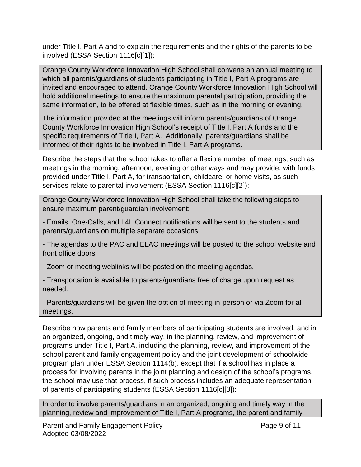under Title I, Part A and to explain the requirements and the rights of the parents to be involved (ESSA Section 1116[c][1]):

Orange County Workforce Innovation High School shall convene an annual meeting to which all parents/guardians of students participating in Title I, Part A programs are invited and encouraged to attend. Orange County Workforce Innovation High School will hold additional meetings to ensure the maximum parental participation, providing the same information, to be offered at flexible times, such as in the morning or evening.

The information provided at the meetings will inform parents/guardians of Orange County Workforce Innovation High School's receipt of Title I, Part A funds and the specific requirements of Title I, Part A. Additionally, parents/guardians shall be informed of their rights to be involved in Title I, Part A programs.

Describe the steps that the school takes to offer a flexible number of meetings, such as meetings in the morning, afternoon, evening or other ways and may provide, with funds provided under Title I, Part A, for transportation, childcare, or home visits, as such services relate to parental involvement (ESSA Section 1116[c][2]):

Orange County Workforce Innovation High School shall take the following steps to ensure maximum parent/guardian involvement:

- Emails, One-Calls, and L4L Connect notifications will be sent to the students and parents/guardians on multiple separate occasions.

- The agendas to the PAC and ELAC meetings will be posted to the school website and front office doors.

- Zoom or meeting weblinks will be posted on the meeting agendas.

- Transportation is available to parents/guardians free of charge upon request as needed.

- Parents/guardians will be given the option of meeting in-person or via Zoom for all meetings.

Describe how parents and family members of participating students are involved, and in an organized, ongoing, and timely way, in the planning, review, and improvement of programs under Title I, Part A, including the planning, review, and improvement of the school parent and family engagement policy and the joint development of schoolwide program plan under ESSA Section 1114(b), except that if a school has in place a process for involving parents in the joint planning and design of the school's programs, the school may use that process, if such process includes an adequate representation of parents of participating students (ESSA Section 1116[c][3]):

In order to involve parents/guardians in an organized, ongoing and timely way in the planning, review and improvement of Title I, Part A programs, the parent and family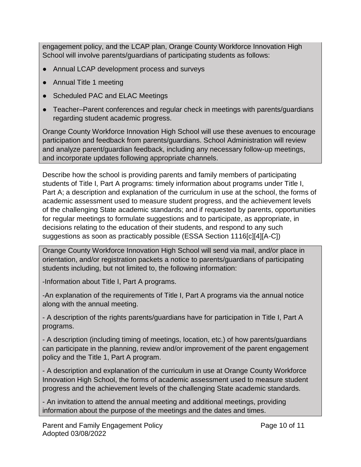engagement policy, and the LCAP plan, Orange County Workforce Innovation High School will involve parents/guardians of participating students as follows:

- Annual LCAP development process and surveys
- Annual Title 1 meeting
- Scheduled PAC and ELAC Meetings
- Teacher–Parent conferences and regular check in meetings with parents/guardians regarding student academic progress.

Orange County Workforce Innovation High School will use these avenues to encourage participation and feedback from parents/guardians. School Administration will review and analyze parent/guardian feedback, including any necessary follow-up meetings, and incorporate updates following appropriate channels.

Describe how the school is providing parents and family members of participating students of Title I, Part A programs: timely information about programs under Title I, Part A; a description and explanation of the curriculum in use at the school, the forms of academic assessment used to measure student progress, and the achievement levels of the challenging State academic standards; and if requested by parents, opportunities for regular meetings to formulate suggestions and to participate, as appropriate, in decisions relating to the education of their students, and respond to any such suggestions as soon as practicably possible (ESSA Section 1116[c][4][A-C])

Orange County Workforce Innovation High School will send via mail, and/or place in orientation, and/or registration packets a notice to parents/guardians of participating students including, but not limited to, the following information:

-Information about Title I, Part A programs.

-An explanation of the requirements of Title I, Part A programs via the annual notice along with the annual meeting.

- A description of the rights parents/guardians have for participation in Title I, Part A programs.

- A description (including timing of meetings, location, etc.) of how parents/guardians can participate in the planning, review and/or improvement of the parent engagement policy and the Title 1, Part A program.

- A description and explanation of the curriculum in use at Orange County Workforce Innovation High School, the forms of academic assessment used to measure student progress and the achievement levels of the challenging State academic standards.

- An invitation to attend the annual meeting and additional meetings, providing information about the purpose of the meetings and the dates and times.